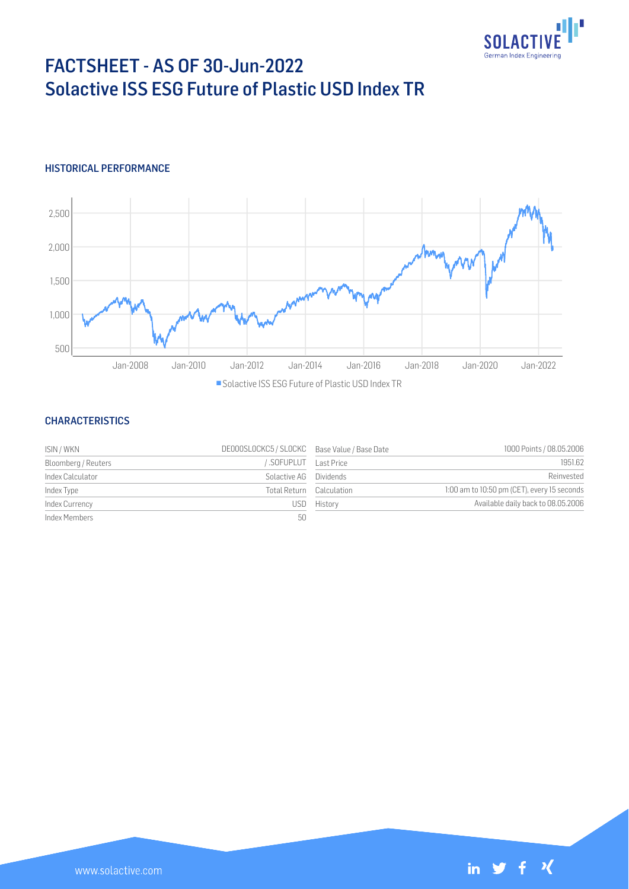

# FACTSHEET - AS OF 30-Jun-2022 Solactive ISS ESG Future of Plastic USD Index TR

## HISTORICAL PERFORMANCE



### **CHARACTERISTICS**

| ISIN / WKN          | DE000SLOCKC5 / SLOCKC Base Value / Base Date |                          | 1000 Points / 08.05.2006                    |
|---------------------|----------------------------------------------|--------------------------|---------------------------------------------|
| Bloomberg / Reuters | SOFUPLUT Last Price                          |                          | 1951.62                                     |
| Index Calculator    | Solactive AG Dividends                       |                          | Reinvested                                  |
| Index Type          |                                              | Total Return Calculation | 1:00 am to 10:50 pm (CET), every 15 seconds |
| Index Currency      |                                              | USD History              | Available daily back to 08.05.2006          |
| Index Members       | 50                                           |                          |                                             |

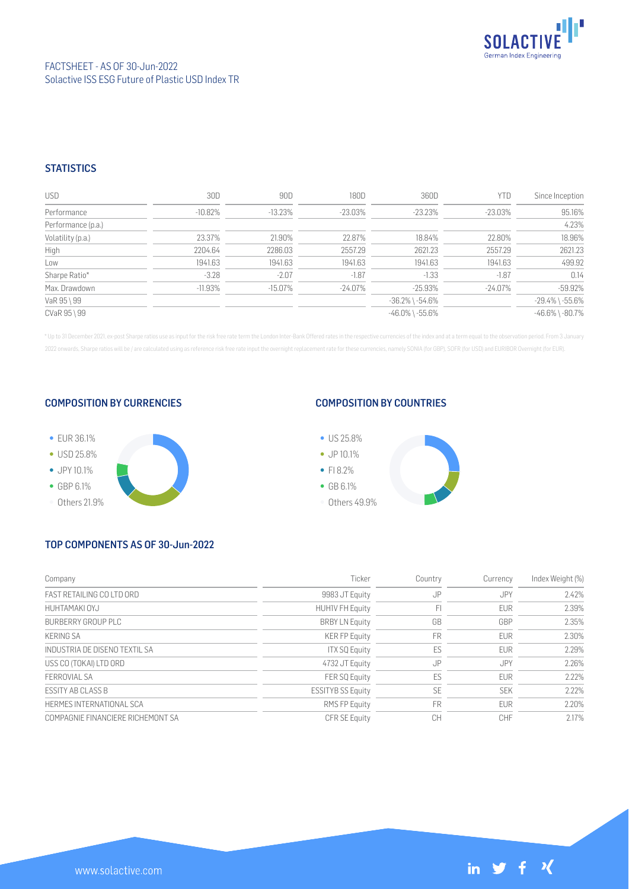

## **STATISTICS**

| <b>USD</b>         | 30D        | 90D     | 180D       | 360D                  | YTD        | Since Inception       |
|--------------------|------------|---------|------------|-----------------------|------------|-----------------------|
| Performance        | $-10.82\%$ | -13.23% | $-23.03\%$ | $-23.23\%$            | -23.03%    | 95.16%                |
| Performance (p.a.) |            |         |            |                       |            | 4.23%                 |
| Volatility (p.a.)  | 23.37%     | 21.90%  | 22.87%     | 18.84%                | 22.80%     | 18.96%                |
| High               | 2204.64    | 2286.03 | 2557.29    | 2621.23               | 2557.29    | 2621.23               |
| Low                | 1941.63    | 1941.63 | 1941.63    | 1941.63               | 1941.63    | 499.92                |
| Sharpe Ratio*      | $-3.28$    | $-2.07$ | $-1.87$    | $-1.33$               | $-1.87$    | 0.14                  |
| Max. Drawdown      | $-11.93%$  | -15.07% | $-24.07\%$ | $-25.93%$             | $-24.07\%$ | $-59.92%$             |
| VaR 95 \ 99        |            |         |            | $-36.2\%$ \ $-54.6\%$ |            | $-29.4\%$ \ $-55.6\%$ |
| CVaR 95 \ 99       |            |         |            | $-46.0\%$ \ $-55.6\%$ |            | $-46.6\%$ \ $-80.7\%$ |

\* Up to 31 December 2021, ex-post Sharpe ratios use as input for the risk free rate term the London Inter-Bank Offered rates in the respective currencies of the index and at a term equal to the observation period. From 3 J 2022 onwards, Sharpe ratios will be / are calculated using as reference risk free rate input the overnight replacement rate for these currencies, namely SONIA (for GBP), SOFR (for USD) and EURIBOR Overnight (for EUR).

#### COMPOSITION BY CURRENCIES



## COMPOSITION BY COUNTRIES



# TOP COMPONENTS AS OF 30-Jun-2022

| Company                           | Ticker                   | Country   | Currency   | Index Weight (%) |
|-----------------------------------|--------------------------|-----------|------------|------------------|
| FAST RETAILING CO LTD ORD         | 9983 JT Equity           | JP        | JPY        | 2.42%            |
| HUHTAMAKI OYJ                     | <b>HUHIV FH Equity</b>   | FI        | <b>EUR</b> | 2.39%            |
| BURBERRY GROUP PLC                | <b>BRBY LN Equity</b>    | GB        | GBP        | 2.35%            |
| <b>KERING SA</b>                  | <b>KER FP Equity</b>     | <b>FR</b> | <b>EUR</b> | 2.30%            |
| INDUSTRIA DE DISENO TEXTIL SA     | <b>ITX SQ Equity</b>     | ES        | <b>EUR</b> | 2.29%            |
| USS CO (TOKAI) LTD ORD            | 4732 JT Equity           | JP        | JPY        | 2.26%            |
| FFRROVIAL SA                      | FER SQ Equity            | ES        | <b>EUR</b> | 2.22%            |
| <b>FSSITY AB CLASS B</b>          | <b>ESSITYB SS Equity</b> | <b>SE</b> | <b>SEK</b> | 2.22%            |
| HERMES INTERNATIONAL SCA          | RMS FP Equity            | <b>FR</b> | <b>EUR</b> | 2.20%            |
| COMPAGNIE FINANCIERE RICHEMONT SA | <b>CFR SE Equity</b>     | CH        | <b>CHF</b> | 2.17%            |